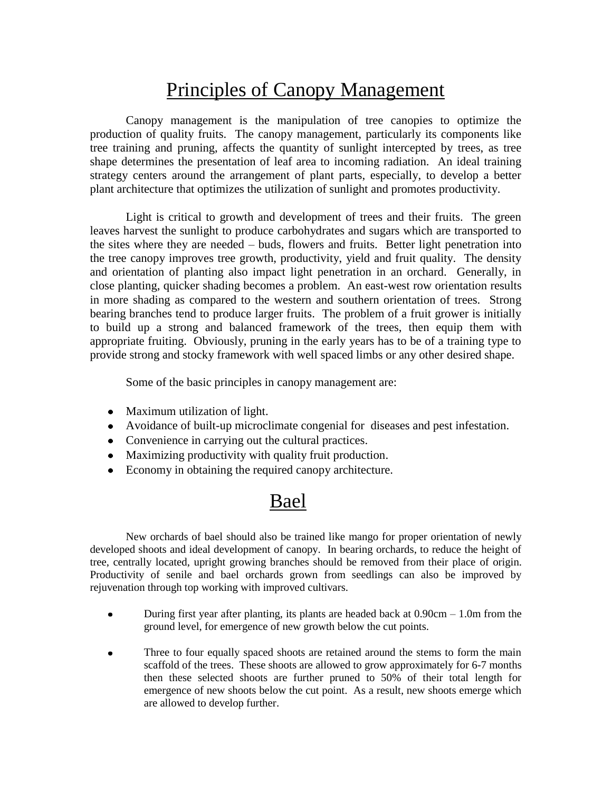## Principles of Canopy Management

Canopy management is the manipulation of tree canopies to optimize the production of quality fruits. The canopy management, particularly its components like tree training and pruning, affects the quantity of sunlight intercepted by trees, as tree shape determines the presentation of leaf area to incoming radiation. An ideal training strategy centers around the arrangement of plant parts, especially, to develop a better plant architecture that optimizes the utilization of sunlight and promotes productivity.

Light is critical to growth and development of trees and their fruits. The green leaves harvest the sunlight to produce carbohydrates and sugars which are transported to the sites where they are needed – buds, flowers and fruits. Better light penetration into the tree canopy improves tree growth, productivity, yield and fruit quality. The density and orientation of planting also impact light penetration in an orchard. Generally, in close planting, quicker shading becomes a problem. An east-west row orientation results in more shading as compared to the western and southern orientation of trees. Strong bearing branches tend to produce larger fruits. The problem of a fruit grower is initially to build up a strong and balanced framework of the trees, then equip them with appropriate fruiting. Obviously, pruning in the early years has to be of a training type to provide strong and stocky framework with well spaced limbs or any other desired shape.

Some of the basic principles in canopy management are:

- Maximum utilization of light.
- Avoidance of built-up microclimate congenial for diseases and pest infestation.
- Convenience in carrying out the cultural practices.
- Maximizing productivity with quality fruit production.
- Economy in obtaining the required canopy architecture.

## Bael

New orchards of bael should also be trained like mango for proper orientation of newly developed shoots and ideal development of canopy. In bearing orchards, to reduce the height of tree, centrally located, upright growing branches should be removed from their place of origin. Productivity of senile and bael orchards grown from seedlings can also be improved by rejuvenation through top working with improved cultivars.

- During first year after planting, its plants are headed back at  $0.90 \text{cm} 1.0 \text{m}$  from the  $\bullet$ ground level, for emergence of new growth below the cut points.
- Three to four equally spaced shoots are retained around the stems to form the main scaffold of the trees. These shoots are allowed to grow approximately for 6-7 months then these selected shoots are further pruned to 50% of their total length for emergence of new shoots below the cut point. As a result, new shoots emerge which are allowed to develop further.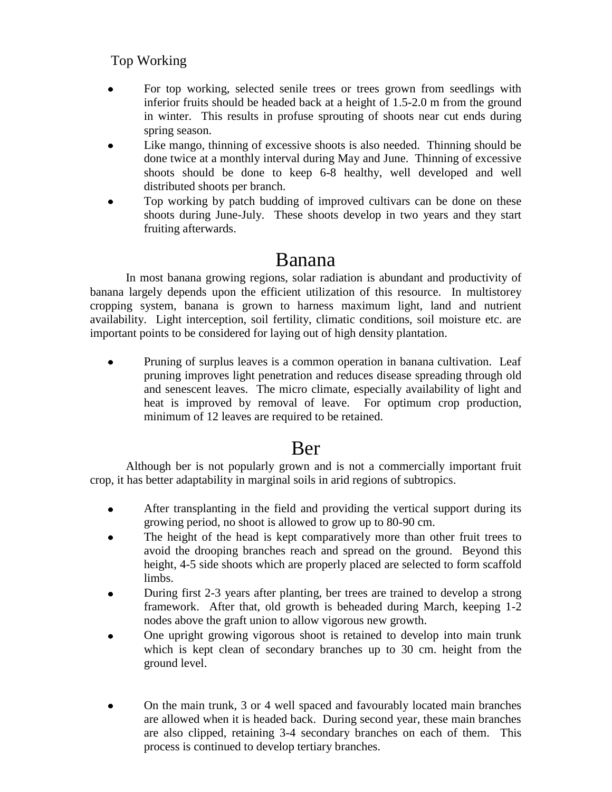#### Top Working

- For top working, selected senile trees or trees grown from seedlings with inferior fruits should be headed back at a height of 1.5-2.0 m from the ground in winter. This results in profuse sprouting of shoots near cut ends during spring season.
- Like mango, thinning of excessive shoots is also needed. Thinning should be done twice at a monthly interval during May and June. Thinning of excessive shoots should be done to keep 6-8 healthy, well developed and well distributed shoots per branch.
- Top working by patch budding of improved cultivars can be done on these shoots during June-July. These shoots develop in two years and they start fruiting afterwards.

### Banana

In most banana growing regions, solar radiation is abundant and productivity of banana largely depends upon the efficient utilization of this resource. In multistorey cropping system, banana is grown to harness maximum light, land and nutrient availability. Light interception, soil fertility, climatic conditions, soil moisture etc. are important points to be considered for laying out of high density plantation.

Pruning of surplus leaves is a common operation in banana cultivation. Leaf pruning improves light penetration and reduces disease spreading through old and senescent leaves. The micro climate, especially availability of light and heat is improved by removal of leave. For optimum crop production, minimum of 12 leaves are required to be retained.

## Ber

Although ber is not popularly grown and is not a commercially important fruit crop, it has better adaptability in marginal soils in arid regions of subtropics.

- $\bullet$ After transplanting in the field and providing the vertical support during its growing period, no shoot is allowed to grow up to 80-90 cm.
- The height of the head is kept comparatively more than other fruit trees to avoid the drooping branches reach and spread on the ground. Beyond this height, 4-5 side shoots which are properly placed are selected to form scaffold limbs.
- During first 2-3 years after planting, ber trees are trained to develop a strong  $\bullet$ framework. After that, old growth is beheaded during March, keeping 1-2 nodes above the graft union to allow vigorous new growth.
- One upright growing vigorous shoot is retained to develop into main trunk which is kept clean of secondary branches up to 30 cm. height from the ground level.
- On the main trunk, 3 or 4 well spaced and favourably located main branches are allowed when it is headed back. During second year, these main branches are also clipped, retaining 3-4 secondary branches on each of them. This process is continued to develop tertiary branches.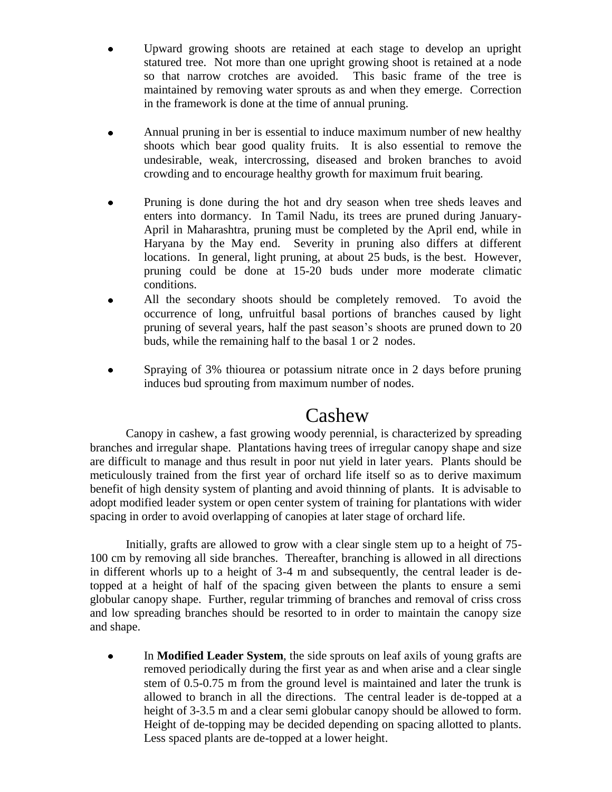- Upward growing shoots are retained at each stage to develop an upright statured tree. Not more than one upright growing shoot is retained at a node so that narrow crotches are avoided. This basic frame of the tree is maintained by removing water sprouts as and when they emerge. Correction in the framework is done at the time of annual pruning.
- Annual pruning in ber is essential to induce maximum number of new healthy shoots which bear good quality fruits. It is also essential to remove the undesirable, weak, intercrossing, diseased and broken branches to avoid crowding and to encourage healthy growth for maximum fruit bearing.
- Pruning is done during the hot and dry season when tree sheds leaves and enters into dormancy. In Tamil Nadu, its trees are pruned during January-April in Maharashtra, pruning must be completed by the April end, while in Haryana by the May end. Severity in pruning also differs at different locations. In general, light pruning, at about 25 buds, is the best. However, pruning could be done at 15-20 buds under more moderate climatic conditions.
- All the secondary shoots should be completely removed. To avoid the occurrence of long, unfruitful basal portions of branches caused by light pruning of several years, half the past season's shoots are pruned down to 20 buds, while the remaining half to the basal 1 or 2 nodes.
- Spraying of 3% thiourea or potassium nitrate once in 2 days before pruning  $\bullet$ induces bud sprouting from maximum number of nodes.

### Cashew

Canopy in cashew, a fast growing woody perennial, is characterized by spreading branches and irregular shape. Plantations having trees of irregular canopy shape and size are difficult to manage and thus result in poor nut yield in later years. Plants should be meticulously trained from the first year of orchard life itself so as to derive maximum benefit of high density system of planting and avoid thinning of plants. It is advisable to adopt modified leader system or open center system of training for plantations with wider spacing in order to avoid overlapping of canopies at later stage of orchard life.

Initially, grafts are allowed to grow with a clear single stem up to a height of 75- 100 cm by removing all side branches. Thereafter, branching is allowed in all directions in different whorls up to a height of 3-4 m and subsequently, the central leader is detopped at a height of half of the spacing given between the plants to ensure a semi globular canopy shape. Further, regular trimming of branches and removal of criss cross and low spreading branches should be resorted to in order to maintain the canopy size and shape.

 $\bullet$ In **Modified Leader System**, the side sprouts on leaf axils of young grafts are removed periodically during the first year as and when arise and a clear single stem of 0.5-0.75 m from the ground level is maintained and later the trunk is allowed to branch in all the directions. The central leader is de-topped at a height of 3-3.5 m and a clear semi globular canopy should be allowed to form. Height of de-topping may be decided depending on spacing allotted to plants. Less spaced plants are de-topped at a lower height.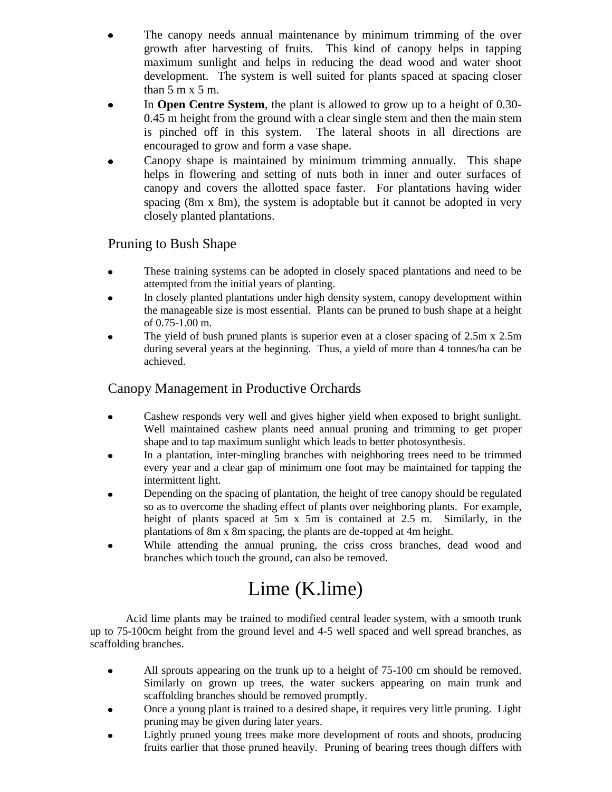- The canopy needs annual maintenance by minimum trimming of the over growth after harvesting of fruits. This kind of canopy helps in tapping maximum sunlight and helps in reducing the dead wood and water shoot development. The system is well suited for plants spaced at spacing closer than  $5 \text{ m x } 5 \text{ m}$ .
- In **Open Centre System**, the plant is allowed to grow up to a height of 0.30- 0.45 m height from the ground with a clear single stem and then the main stem is pinched off in this system. The lateral shoots in all directions are encouraged to grow and form a vase shape.
- Canopy shape is maintained by minimum trimming annually. This shape helps in flowering and setting of nuts both in inner and outer surfaces of canopy and covers the allotted space faster. For plantations having wider spacing (8m x 8m), the system is adoptable but it cannot be adopted in very closely planted plantations.

#### Pruning to Bush Shape

- These training systems can be adopted in closely spaced plantations and need to be attempted from the initial years of planting.
- In closely planted plantations under high density system, canopy development within the manageable size is most essential. Plants can be pruned to bush shape at a height of 0.75-1.00 m.
- The yield of bush pruned plants is superior even at a closer spacing of 2.5m x 2.5m during several years at the beginning. Thus, a yield of more than 4 tonnes/ha can be achieved.

#### Canopy Management in Productive Orchards

- Cashew responds very well and gives higher yield when exposed to bright sunlight.  $\bullet$ Well maintained cashew plants need annual pruning and trimming to get proper shape and to tap maximum sunlight which leads to better photosynthesis.
- In a plantation, inter-mingling branches with neighboring trees need to be trimmed every year and a clear gap of minimum one foot may be maintained for tapping the intermittent light.
- Depending on the spacing of plantation, the height of tree canopy should be regulated so as to overcome the shading effect of plants over neighboring plants. For example, height of plants spaced at 5m x 5m is contained at 2.5 m. Similarly, in the plantations of 8m x 8m spacing, the plants are de-topped at 4m height.
- While attending the annual pruning, the criss cross branches, dead wood and branches which touch the ground, can also be removed.

# Lime (K.lime)

Acid lime plants may be trained to modified central leader system, with a smooth trunk up to 75-100cm height from the ground level and 4-5 well spaced and well spread branches, as scaffolding branches.

- All sprouts appearing on the trunk up to a height of 75-100 cm should be removed.  $\bullet$ Similarly on grown up trees, the water suckers appearing on main trunk and scaffolding branches should be removed promptly.
- Once a young plant is trained to a desired shape, it requires very little pruning. Light pruning may be given during later years.
- Lightly pruned young trees make more development of roots and shoots, producing  $\bullet$ fruits earlier that those pruned heavily. Pruning of bearing trees though differs with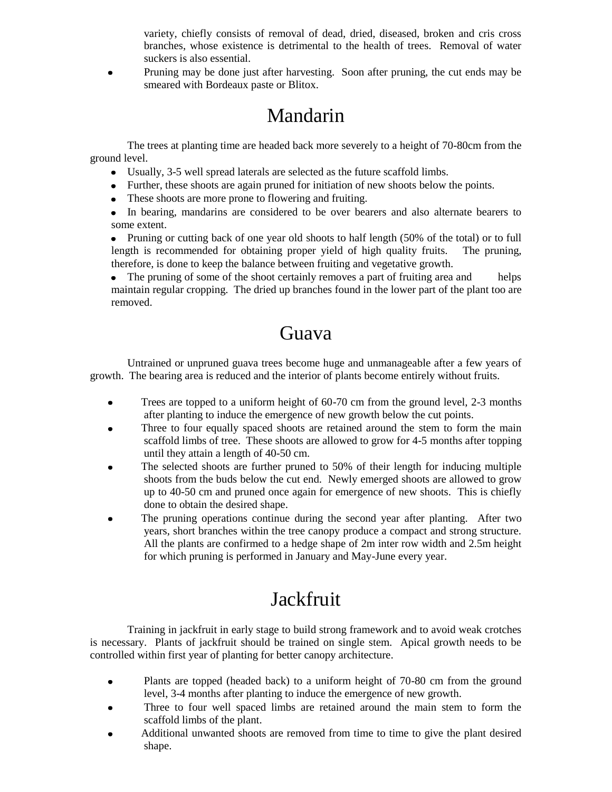variety, chiefly consists of removal of dead, dried, diseased, broken and cris cross branches, whose existence is detrimental to the health of trees. Removal of water suckers is also essential.

Pruning may be done just after harvesting. Soon after pruning, the cut ends may be  $\bullet$ smeared with Bordeaux paste or Blitox.

# Mandarin

The trees at planting time are headed back more severely to a height of 70-80cm from the ground level.

- Usually, 3-5 well spread laterals are selected as the future scaffold limbs.
- Further, these shoots are again pruned for initiation of new shoots below the points.
- These shoots are more prone to flowering and fruiting.
- In bearing, mandarins are considered to be over bearers and also alternate bearers to some extent.

• Pruning or cutting back of one year old shoots to half length (50% of the total) or to full length is recommended for obtaining proper yield of high quality fruits. The pruning, therefore, is done to keep the balance between fruiting and vegetative growth.

• The pruning of some of the shoot certainly removes a part of fruiting area and helps maintain regular cropping. The dried up branches found in the lower part of the plant too are removed.

## Guava

Untrained or unpruned guava trees become huge and unmanageable after a few years of growth. The bearing area is reduced and the interior of plants become entirely without fruits.

- Trees are topped to a uniform height of 60-70 cm from the ground level, 2-3 months  $\bullet$ after planting to induce the emergence of new growth below the cut points.
- Three to four equally spaced shoots are retained around the stem to form the main scaffold limbs of tree. These shoots are allowed to grow for 4-5 months after topping until they attain a length of 40-50 cm.
- The selected shoots are further pruned to 50% of their length for inducing multiple shoots from the buds below the cut end. Newly emerged shoots are allowed to grow up to 40-50 cm and pruned once again for emergence of new shoots. This is chiefly done to obtain the desired shape.
- The pruning operations continue during the second year after planting. After two years, short branches within the tree canopy produce a compact and strong structure. All the plants are confirmed to a hedge shape of 2m inter row width and 2.5m height for which pruning is performed in January and May-June every year.

# **Jackfruit**

Training in jackfruit in early stage to build strong framework and to avoid weak crotches is necessary. Plants of jackfruit should be trained on single stem. Apical growth needs to be controlled within first year of planting for better canopy architecture.

- Plants are topped (headed back) to a uniform height of 70-80 cm from the ground  $\bullet$ level, 3-4 months after planting to induce the emergence of new growth.
- $\bullet$  Three to four well spaced limbs are retained around the main stem to form the scaffold limbs of the plant.
- Additional unwanted shoots are removed from time to time to give the plant desired shape.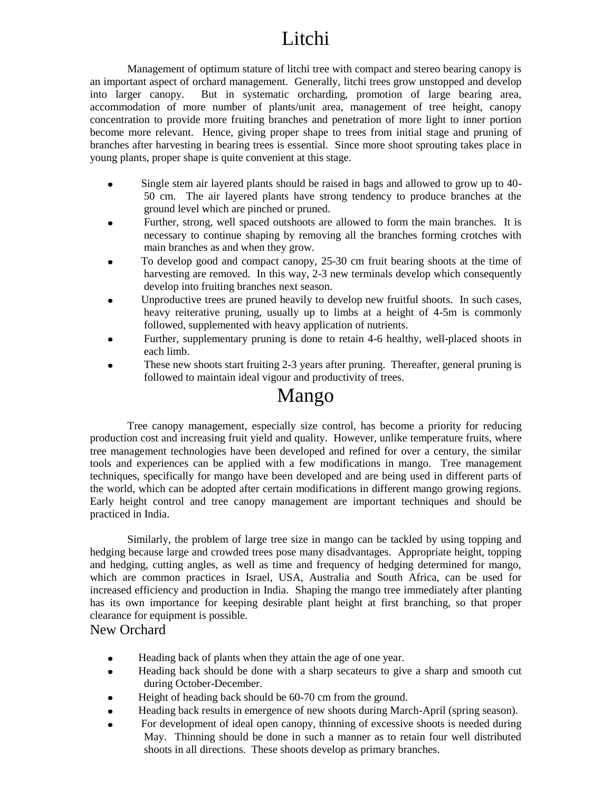# Litchi

Management of optimum stature of litchi tree with compact and stereo bearing canopy is an important aspect of orchard management. Generally, litchi trees grow unstopped and develop into larger canopy. But in systematic orcharding, promotion of large bearing area, accommodation of more number of plants/unit area, management of tree height, canopy concentration to provide more fruiting branches and penetration of more light to inner portion become more relevant. Hence, giving proper shape to trees from initial stage and pruning of branches after harvesting in bearing trees is essential. Since more shoot sprouting takes place in young plants, proper shape is quite convenient at this stage.

- Single stem air layered plants should be raised in bags and allowed to grow up to 40-  $\bullet$ 50 cm. The air layered plants have strong tendency to produce branches at the ground level which are pinched or pruned.
- Further, strong, well spaced outshoots are allowed to form the main branches. It is necessary to continue shaping by removing all the branches forming crotches with main branches as and when they grow.
- To develop good and compact canopy, 25-30 cm fruit bearing shoots at the time of harvesting are removed. In this way, 2-3 new terminals develop which consequently develop into fruiting branches next season.
- Unproductive trees are pruned heavily to develop new fruitful shoots. In such cases, heavy reiterative pruning, usually up to limbs at a height of 4-5m is commonly followed, supplemented with heavy application of nutrients.
- Further, supplementary pruning is done to retain 4-6 healthy, well-placed shoots in each limb.
- These new shoots start fruiting 2-3 years after pruning. Thereafter, general pruning is followed to maintain ideal vigour and productivity of trees.

### Mango

Tree canopy management, especially size control, has become a priority for reducing production cost and increasing fruit yield and quality. However, unlike temperature fruits, where tree management technologies have been developed and refined for over a century, the similar tools and experiences can be applied with a few modifications in mango. Tree management techniques, specifically for mango have been developed and are being used in different parts of the world, which can be adopted after certain modifications in different mango growing regions. Early height control and tree canopy management are important techniques and should be practiced in India.

Similarly, the problem of large tree size in mango can be tackled by using topping and hedging because large and crowded trees pose many disadvantages. Appropriate height, topping and hedging, cutting angles, as well as time and frequency of hedging determined for mango, which are common practices in Israel, USA, Australia and South Africa, can be used for increased efficiency and production in India. Shaping the mango tree immediately after planting has its own importance for keeping desirable plant height at first branching, so that proper clearance for equipment is possible.

#### New Orchard

- Heading back of plants when they attain the age of one year.  $\bullet$
- Heading back should be done with a sharp secateurs to give a sharp and smooth cut during October-December.
- Height of heading back should be 60-70 cm from the ground.
- Heading back results in emergence of new shoots during March-April (spring season).
- For development of ideal open canopy, thinning of excessive shoots is needed during May. Thinning should be done in such a manner as to retain four well distributed shoots in all directions. These shoots develop as primary branches.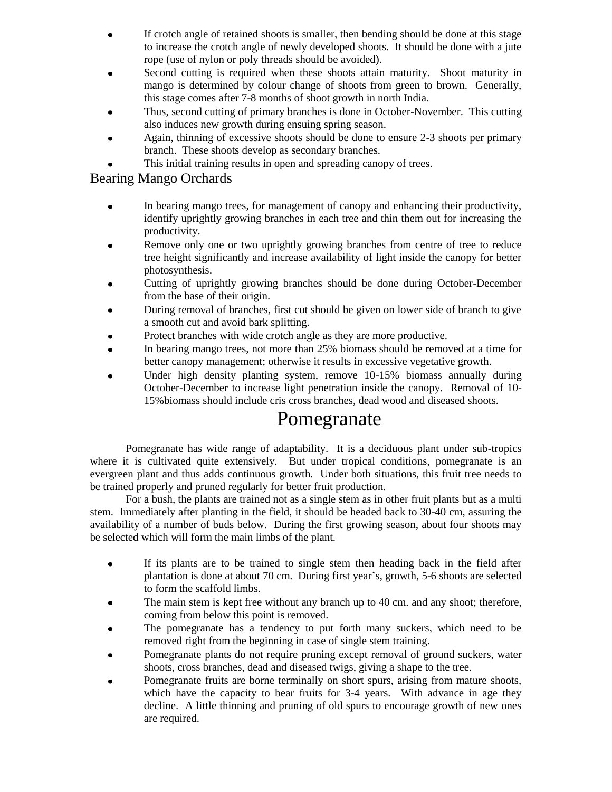- If crotch angle of retained shoots is smaller, then bending should be done at this stage to increase the crotch angle of newly developed shoots. It should be done with a jute rope (use of nylon or poly threads should be avoided).
- Second cutting is required when these shoots attain maturity. Shoot maturity in mango is determined by colour change of shoots from green to brown. Generally, this stage comes after 7-8 months of shoot growth in north India.
- Thus, second cutting of primary branches is done in October-November. This cutting also induces new growth during ensuing spring season.
- Again, thinning of excessive shoots should be done to ensure 2-3 shoots per primary branch. These shoots develop as secondary branches.
- This initial training results in open and spreading canopy of trees.

#### Bearing Mango Orchards

- In bearing mango trees, for management of canopy and enhancing their productivity, identify uprightly growing branches in each tree and thin them out for increasing the productivity.
- Remove only one or two uprightly growing branches from centre of tree to reduce tree height significantly and increase availability of light inside the canopy for better photosynthesis.
- Cutting of uprightly growing branches should be done during October-December from the base of their origin.
- During removal of branches, first cut should be given on lower side of branch to give a smooth cut and avoid bark splitting.
- Protect branches with wide crotch angle as they are more productive.
- In bearing mango trees, not more than 25% biomass should be removed at a time for better canopy management; otherwise it results in excessive vegetative growth.
- Under high density planting system, remove 10-15% biomass annually during October-December to increase light penetration inside the canopy. Removal of 10- 15%biomass should include cris cross branches, dead wood and diseased shoots.

### Pomegranate

Pomegranate has wide range of adaptability. It is a deciduous plant under sub-tropics where it is cultivated quite extensively. But under tropical conditions, pomegranate is an evergreen plant and thus adds continuous growth. Under both situations, this fruit tree needs to be trained properly and pruned regularly for better fruit production.

For a bush, the plants are trained not as a single stem as in other fruit plants but as a multi stem. Immediately after planting in the field, it should be headed back to 30-40 cm, assuring the availability of a number of buds below. During the first growing season, about four shoots may be selected which will form the main limbs of the plant.

- If its plants are to be trained to single stem then heading back in the field after  $\bullet$ plantation is done at about 70 cm. During first year's, growth, 5-6 shoots are selected to form the scaffold limbs.
- The main stem is kept free without any branch up to 40 cm. and any shoot; therefore, coming from below this point is removed.
- The pomegranate has a tendency to put forth many suckers, which need to be removed right from the beginning in case of single stem training.
- Pomegranate plants do not require pruning except removal of ground suckers, water shoots, cross branches, dead and diseased twigs, giving a shape to the tree.
- Pomegranate fruits are borne terminally on short spurs, arising from mature shoots, which have the capacity to bear fruits for 3-4 years. With advance in age they decline. A little thinning and pruning of old spurs to encourage growth of new ones are required.